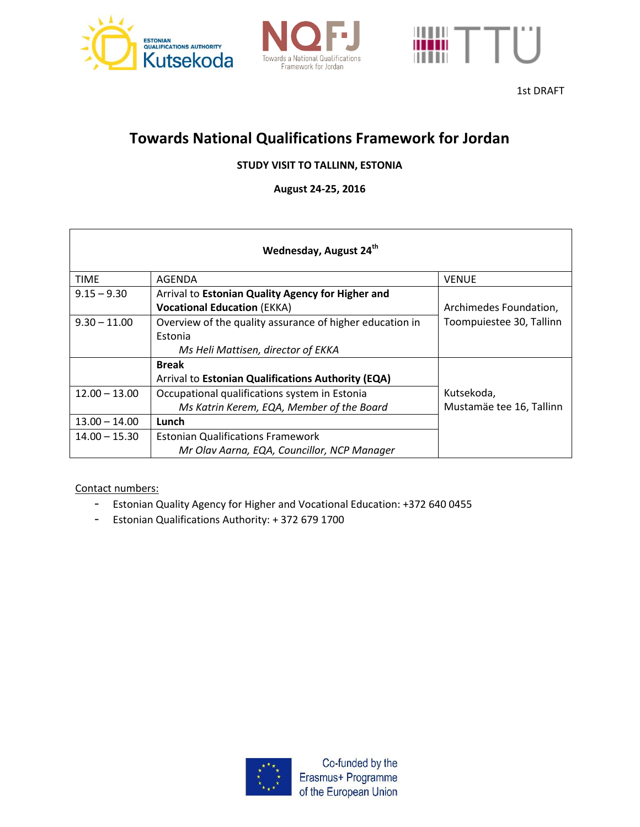





1st DRAFT

## **Towards National Qualifications Framework for Jordan**

## **STUDY VISIT TO TALLINN, ESTONIA**

**August 24-25, 2016**

| Wednesday, August 24 <sup>th</sup> |                                                          |                          |  |
|------------------------------------|----------------------------------------------------------|--------------------------|--|
| <b>TIME</b>                        | AGENDA                                                   | <b>VENUE</b>             |  |
| $9.15 - 9.30$                      | Arrival to Estonian Quality Agency for Higher and        |                          |  |
|                                    | <b>Vocational Education (EKKA)</b>                       | Archimedes Foundation,   |  |
| $9.30 - 11.00$                     | Overview of the quality assurance of higher education in | Toompuiestee 30, Tallinn |  |
|                                    | Estonia                                                  |                          |  |
|                                    | Ms Heli Mattisen, director of EKKA                       |                          |  |
|                                    | <b>Break</b>                                             |                          |  |
|                                    | Arrival to Estonian Qualifications Authority (EQA)       |                          |  |
| $12.00 - 13.00$                    | Occupational qualifications system in Estonia            | Kutsekoda,               |  |
|                                    | Ms Katrin Kerem, EQA, Member of the Board                | Mustamäe tee 16, Tallinn |  |
| $13.00 - 14.00$                    | Lunch                                                    |                          |  |
| $14.00 - 15.30$                    | <b>Estonian Qualifications Framework</b>                 |                          |  |
|                                    | Mr Olav Aarna, EQA, Councillor, NCP Manager              |                          |  |

Contact numbers:

- Estonian Quality Agency for Higher and Vocational Education: +372 640 0455
- Estonian Qualifications Authority: + 372 679 1700